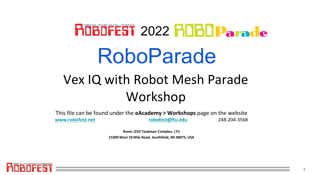# HOBOFEST 2022 HOBO Parade RoboParade Vex IQ with Robot Mesh Parade Workshop

This file can be found under the **eAcademy > Workshops** page on the website **[www.robofest.net](http://www.robofest.net/) [robofest@ltu.edu](mailto:robofest@ltu.edu)** 248-204-3568

> **Room J233 Taubman Complex, LTU 21000 West 10 Mile Road, Southfield, MI 48075, USA**

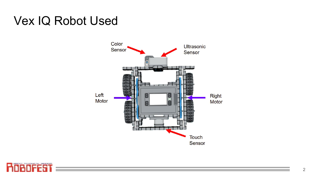# Vex IQ Robot Used



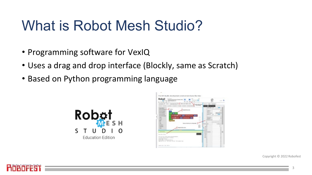# What is Robot Mesh Studio?

- Programming software for VexIQ
- Uses a drag and drop interface (Blockly, same as Scratch)
- Based on Python programming language





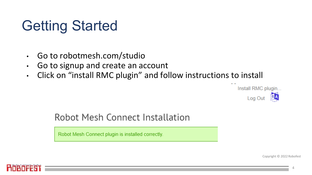# Getting Started

- Go to robotmesh.com/studio
- Go to signup and create an account
- Click on "install RMC plugin" and follow instructions to install



#### Robot Mesh Connect Installation

Robot Mesh Connect plugin is installed correctly.

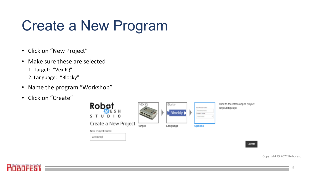# Create a New Program

- Click on "New Project"
- Make sure these are selected 1. Target: "Vex IQ" 2. Language: "Blocky"
- Name the program "Workshop"
- Click on "Create"





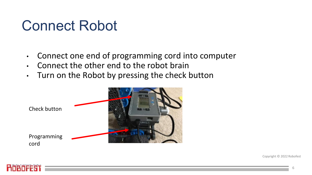# Connect Robot

- Connect one end of programming cord into computer
- Connect the other end to the robot brain
- Turn on the Robot by pressing the check button



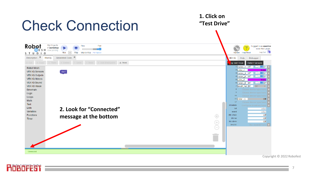

**Financia**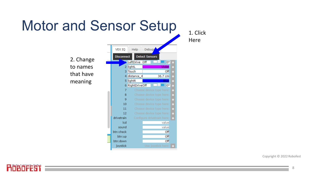# Motor and Sensor Setup

2. Change to names that have meaning



1. Click Here

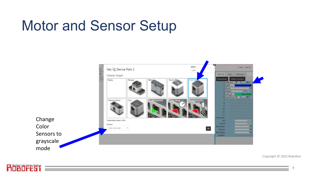# Motor and Sensor Setup



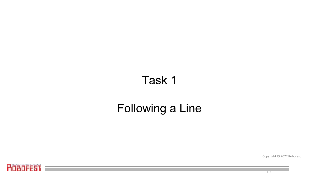#### Task 1

# Following a Line

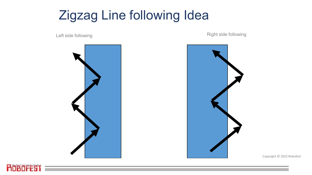# Zigzag Line following Idea



Left side following **Example 2018** 2019 12:30 Right side following



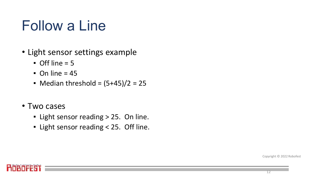# Follow a Line

- Light sensor settings example
	- $\bullet$  Off line = 5
	- $\blacksquare$  On line = 45
	- Median threshold =  $(5+45)/2 = 25$
- Two cases
	- Light sensor reading > 25. On line.
	- Light sensor reading < 25. Off line.

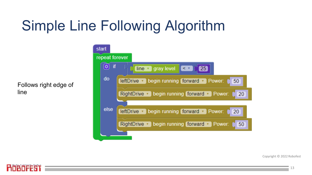# Simple Line Following Algorithm

Follows right edge of line

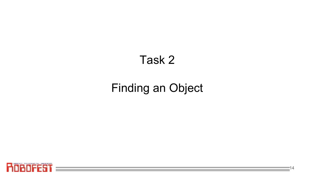#### Task 2

#### Finding an Object

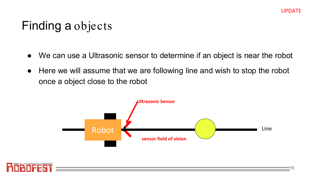#### Finding a objects

- We can use a Ultrasonic sensor to determine if an object is near the robot
- Here we will assume that we are following line and wish to stop the robot once a object close to the robot



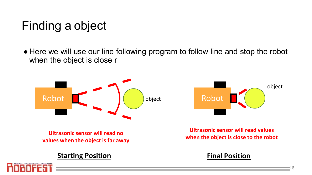# Finding a object

● Here we will use our line following program to follow line and stop the robot when the object is close r



**Ultrasonic sensor will read no values when the object is far away**

#### **Starting Position Final Position**





**Ultrasonic sensor will read values when the object is close to the robot**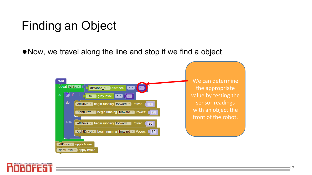# Finding an Object

● Now, we travel along the line and stop if we find a object



We can determine the appropriate value by testing the sensor readings with an object the front of the robot.

17

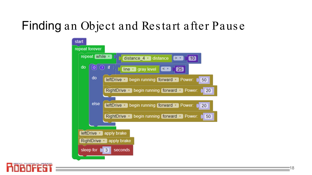# Finding an Object and Res tart after Paus e



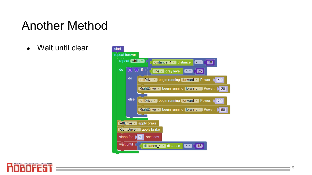#### Another Method

• Wait until clear



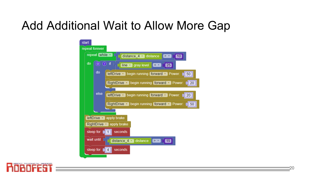#### Add Additional Wait to Allow More Gap



20